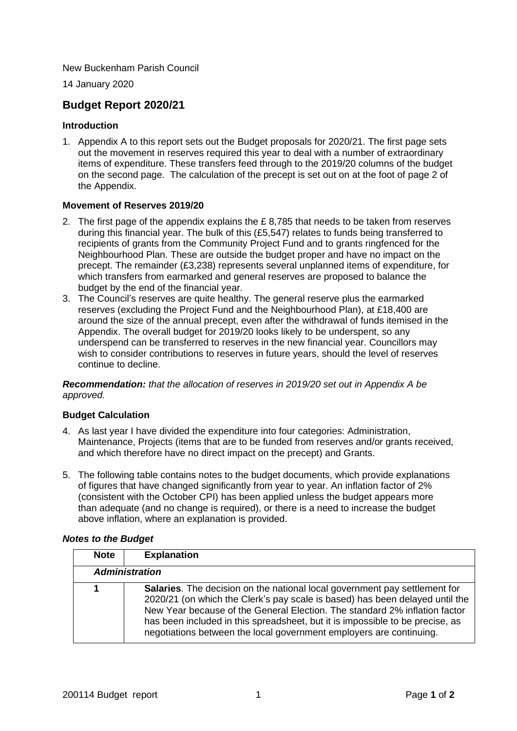New Buckenham Parish Council

14 January 2020

# **Budget Report 2020/21**

#### **Introduction**

1. Appendix A to this report sets out the Budget proposals for 2020/21. The first page sets out the movement in reserves required this year to deal with a number of extraordinary items of expenditure. These transfers feed through to the 2019/20 columns of the budget on the second page. The calculation of the precept is set out on at the foot of page 2 of the Appendix.

#### **Movement of Reserves 2019/20**

- 2. The first page of the appendix explains the £ 8,785 that needs to be taken from reserves during this financial year. The bulk of this (£5,547) relates to funds being transferred to recipients of grants from the Community Project Fund and to grants ringfenced for the Neighbourhood Plan. These are outside the budget proper and have no impact on the precept. The remainder (£3,238) represents several unplanned items of expenditure, for which transfers from earmarked and general reserves are proposed to balance the budget by the end of the financial year.
- 3. The Council's reserves are quite healthy. The general reserve plus the earmarked reserves (excluding the Project Fund and the Neighbourhood Plan), at £18,400 are around the size of the annual precept, even after the withdrawal of funds itemised in the Appendix. The overall budget for 2019/20 looks likely to be underspent, so any underspend can be transferred to reserves in the new financial year. Councillors may wish to consider contributions to reserves in future years, should the level of reserves continue to decline.

*Recommendation: that the allocation of reserves in 2019/20 set out in Appendix A be approved.* 

## **Budget Calculation**

- 4. As last year I have divided the expenditure into four categories: Administration, Maintenance, Projects (items that are to be funded from reserves and/or grants received, and which therefore have no direct impact on the precept) and Grants.
- 5. The following table contains notes to the budget documents, which provide explanations of figures that have changed significantly from year to year. An inflation factor of 2% (consistent with the October CPI) has been applied unless the budget appears more than adequate (and no change is required), or there is a need to increase the budget above inflation, where an explanation is provided.

#### *Notes to the Budget*

| <b>Note</b>           | <b>Explanation</b>                                                                                                                                                                                                                                                                                                                                                                                      |  |
|-----------------------|---------------------------------------------------------------------------------------------------------------------------------------------------------------------------------------------------------------------------------------------------------------------------------------------------------------------------------------------------------------------------------------------------------|--|
| <b>Administration</b> |                                                                                                                                                                                                                                                                                                                                                                                                         |  |
|                       | <b>Salaries.</b> The decision on the national local government pay settlement for<br>2020/21 (on which the Clerk's pay scale is based) has been delayed until the<br>New Year because of the General Election. The standard 2% inflation factor<br>has been included in this spreadsheet, but it is impossible to be precise, as<br>negotiations between the local government employers are continuing. |  |